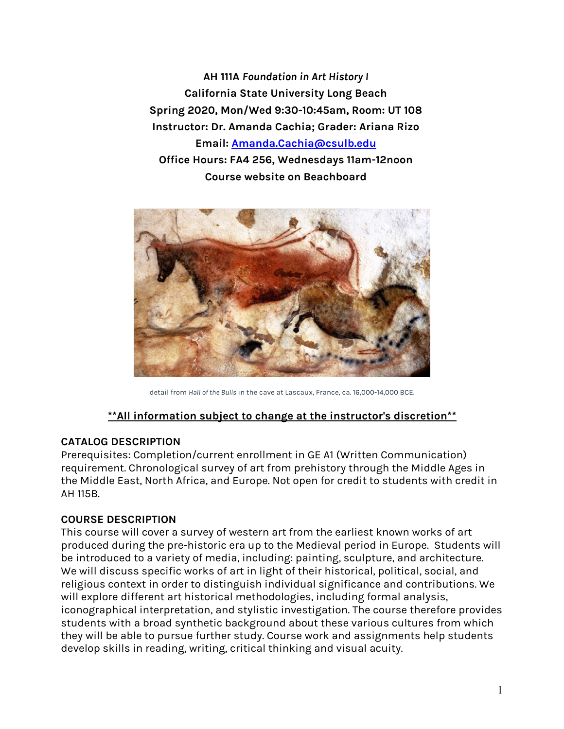**AH 111A** *Foundation in Art History I* **California State University Long Beach Spring 2020, Mon/Wed 9:30-10:45am, Room: UT 108 Instructor: Dr. Amanda Cachia; Grader: Ariana Rizo Email: Amanda.Cachia@csulb.edu Office Hours: FA4 256, Wednesdays 11am-12noon Course website on Beachboard**



detail from *Hall of the Bulls* in the cave at Lascaux, France, ca. 16,000-14,000 BCE.

## **\*\*All information subject to change at the instructor's discretion\*\***

### **CATALOG DESCRIPTION**

Prerequisites: Completion/current enrollment in GE A1 (Written Communication) requirement. Chronological survey of art from prehistory through the Middle Ages in the Middle East, North Africa, and Europe. Not open for credit to students with credit in AH 115B.

### **COURSE DESCRIPTION**

This course will cover a survey of western art from the earliest known works of art produced during the pre-historic era up to the Medieval period in Europe. Students will be introduced to a variety of media, including: painting, sculpture, and architecture. We will discuss specific works of art in light of their historical, political, social, and religious context in order to distinguish individual significance and contributions. We will explore different art historical methodologies, including formal analysis, iconographical interpretation, and stylistic investigation. The course therefore provides students with a broad synthetic background about these various cultures from which they will be able to pursue further study. Course work and assignments help students develop skills in reading, writing, critical thinking and visual acuity.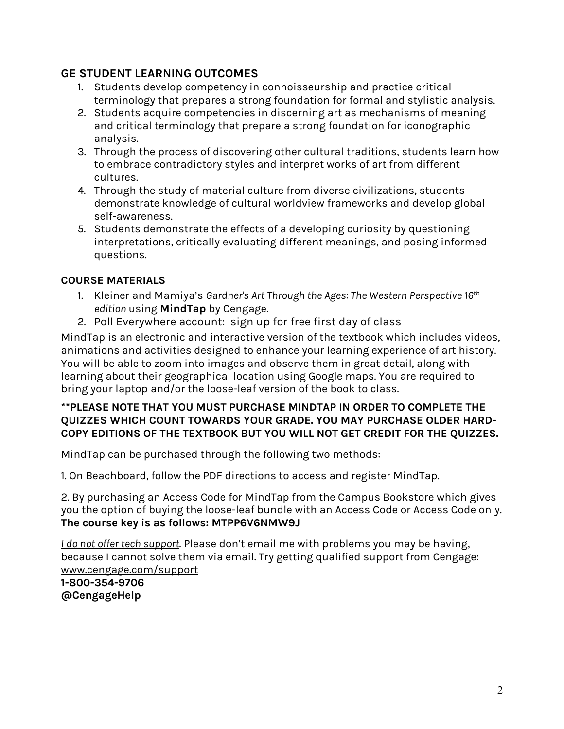## **GE STUDENT LEARNING OUTCOMES**

- 1. Students develop competency in connoisseurship and practice critical terminology that prepares a strong foundation for formal and stylistic analysis.
- 2. Students acquire competencies in discerning art as mechanisms of meaning and critical terminology that prepare a strong foundation for iconographic analysis.
- 3. Through the process of discovering other cultural traditions, students learn how to embrace contradictory styles and interpret works of art from different cultures.
- 4. Through the study of material culture from diverse civilizations, students demonstrate knowledge of cultural worldview frameworks and develop global self-awareness.
- 5. Students demonstrate the effects of a developing curiosity by questioning interpretations, critically evaluating different meanings, and posing informed questions.

## **COURSE MATERIALS**

- 1. Kleiner and Mamiya's *Gardner's Art Through the Ages: The Western Perspective 16th edition* using **MindTap** by Cengage.
- 2. Poll Everywhere account: sign up for free first day of class

MindTap is an electronic and interactive version of the textbook which includes videos, animations and activities designed to enhance your learning experience of art history. You will be able to zoom into images and observe them in great detail, along with learning about their geographical location using Google maps. You are required to bring your laptop and/or the loose-leaf version of the book to class.

### **\*\*PLEASE NOTE THAT YOU MUST PURCHASE MINDTAP IN ORDER TO COMPLETE THE QUIZZES WHICH COUNT TOWARDS YOUR GRADE. YOU MAY PURCHASE OLDER HARD-COPY EDITIONS OF THE TEXTBOOK BUT YOU WILL NOT GET CREDIT FOR THE QUIZZES.**

## MindTap can be purchased through the following two methods:

1. On Beachboard, follow the PDF directions to access and register MindTap.

2. By purchasing an Access Code for MindTap from the Campus Bookstore which gives you the option of buying the loose-leaf bundle with an Access Code or Access Code only. **The course key is as follows: MTPP6V6NMW9J**

*I do not offer tech support*. Please don't email me with problems you may be having, because I cannot solve them via email. Try getting qualified support from Cengage: www.cengage.com/support

**1-800-354-9706 @CengageHelp**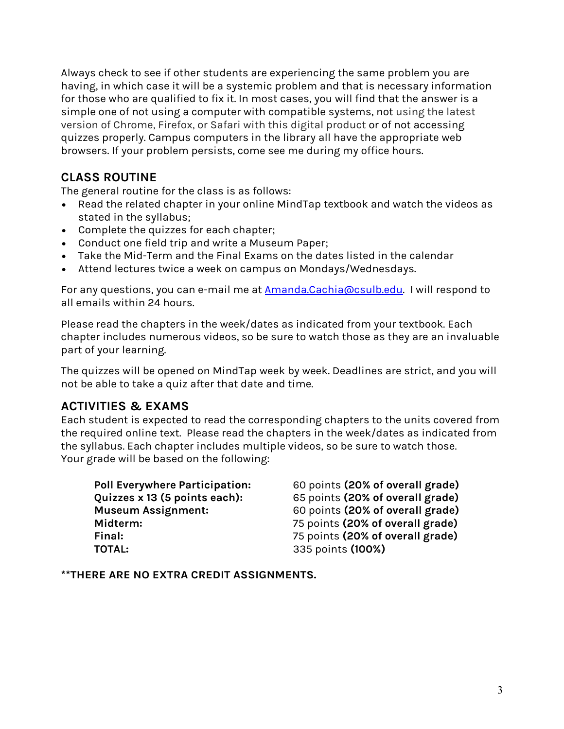Always check to see if other students are experiencing the same problem you are having, in which case it will be a systemic problem and that is necessary information for those who are qualified to fix it. In most cases, you will find that the answer is a simple one of not using a computer with compatible systems, not using the latest version of Chrome, Firefox, or Safari with this digital product or of not accessing quizzes properly. Campus computers in the library all have the appropriate web browsers. If your problem persists, come see me during my office hours.

# **CLASS ROUTINE**

The general routine for the class is as follows:

- Read the related chapter in your online MindTap textbook and watch the videos as stated in the syllabus;
- Complete the quizzes for each chapter;
- Conduct one field trip and write a Museum Paper;
- Take the Mid-Term and the Final Exams on the dates listed in the calendar
- Attend lectures twice a week on campus on Mondays/Wednesdays.

For any questions, you can e-mail me at **Amanda.Cachia@csulb.edu**. I will respond to all emails within 24 hours.

Please read the chapters in the week/dates as indicated from your textbook. Each chapter includes numerous videos, so be sure to watch those as they are an invaluable part of your learning.

The quizzes will be opened on MindTap week by week. Deadlines are strict, and you will not be able to take a quiz after that date and time.

# **ACTIVITIES & EXAMS**

Each student is expected to read the corresponding chapters to the units covered from the required online text. Please read the chapters in the week/dates as indicated from the syllabus. Each chapter includes multiple videos, so be sure to watch those. Your grade will be based on the following:

| 60 points (20% of overall grade) |
|----------------------------------|
| 65 points (20% of overall grade) |
| 60 points (20% of overall grade) |
| 75 points (20% of overall grade) |
| 75 points (20% of overall grade) |
| 335 points (100%)                |
|                                  |

**\*\*THERE ARE NO EXTRA CREDIT ASSIGNMENTS.**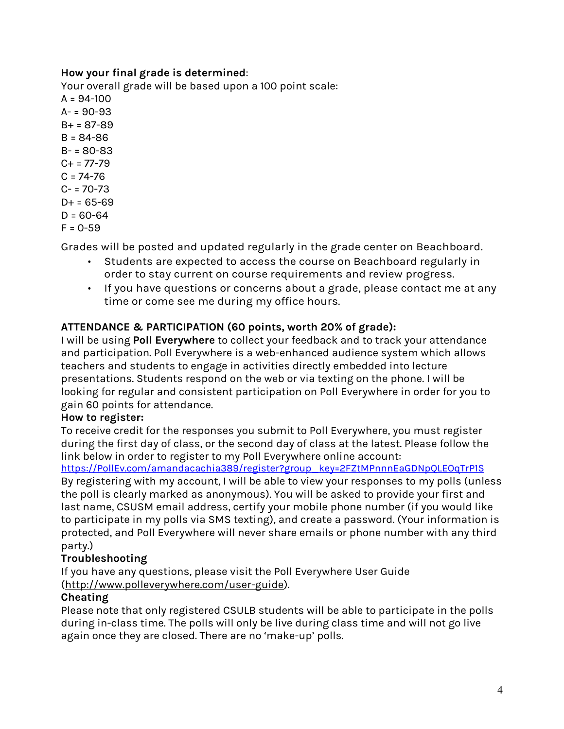## **How your final grade is determined**:

Your overall grade will be based upon a 100 point scale:  $A = 94 - 100$  $A - 90 - 93$  $B + = 87 - 89$ B = 84-86 B- = 80-83  $C+ = 77-79$  $C = 74 - 76$  $C - 70 - 73$  $D+ = 65-69$  $D = 60 - 64$  $F = 0 - 59$ 

Grades will be posted and updated regularly in the grade center on Beachboard.

- Students are expected to access the course on Beachboard regularly in order to stay current on course requirements and review progress.
- If you have questions or concerns about a grade, please contact me at any time or come see me during my office hours.

## **ATTENDANCE & PARTICIPATION (60 points, worth 20% of grade):**

I will be using **Poll Everywhere** to collect your feedback and to track your attendance and participation. Poll Everywhere is a web-enhanced audience system which allows teachers and students to engage in activities directly embedded into lecture presentations. Students respond on the web or via texting on the phone. I will be looking for regular and consistent participation on Poll Everywhere in order for you to gain 60 points for attendance.

## **How to register:**

To receive credit for the responses you submit to Poll Everywhere, you must register during the first day of class, or the second day of class at the latest. Please follow the link below in order to register to my Poll Everywhere online account:

https://PollEv.com/amandacachia389/register?group\_key=2FZtMPnnnEaGDNpQLEOqTrP1S By registering with my account, I will be able to view your responses to my polls (unless the poll is clearly marked as anonymous). You will be asked to provide your first and last name, CSUSM email address, certify your mobile phone number (if you would like to participate in my polls via SMS texting), and create a password. (Your information is protected, and Poll Everywhere will never share emails or phone number with any third party.)

## **Troubleshooting**

If you have any questions, please visit the Poll Everywhere User Guide (http://www.polleverywhere.com/user-guide).

## **Cheating**

Please note that only registered CSULB students will be able to participate in the polls during in-class time. The polls will only be live during class time and will not go live again once they are closed. There are no 'make-up' polls.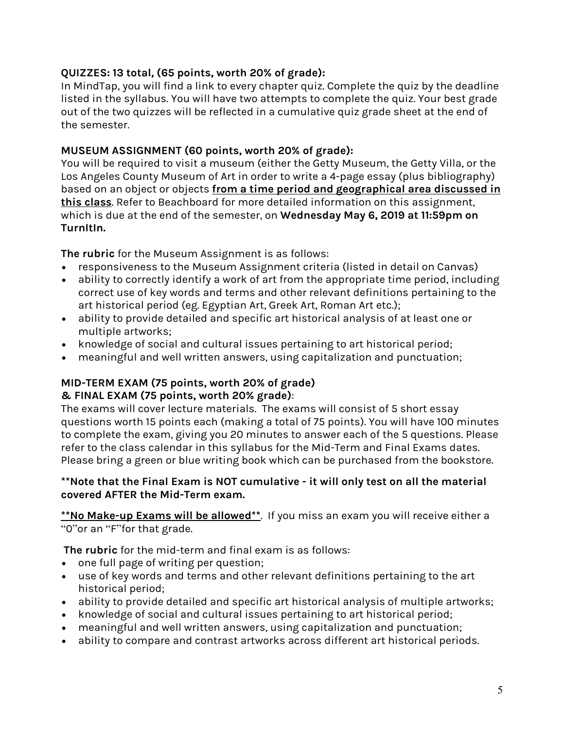## **QUIZZES: 13 total, (65 points, worth 20% of grade):**

In MindTap, you will find a link to every chapter quiz. Complete the quiz by the deadline listed in the syllabus. You will have two attempts to complete the quiz. Your best grade out of the two quizzes will be reflected in a cumulative quiz grade sheet at the end of the semester.

## **MUSEUM ASSIGNMENT (60 points, worth 20% of grade):**

You will be required to visit a museum (either the Getty Museum, the Getty Villa, or the Los Angeles County Museum of Art in order to write a 4-page essay (plus bibliography) based on an object or objects **from a time period and geographical area discussed in this class**. Refer to Beachboard for more detailed information on this assignment, which is due at the end of the semester, on **Wednesday May 6, 2019 at 11:59pm on TurnItIn.**

**The rubric** for the Museum Assignment is as follows:

- responsiveness to the Museum Assignment criteria (listed in detail on Canvas)
- ability to correctly identify a work of art from the appropriate time period, including correct use of key words and terms and other relevant definitions pertaining to the art historical period (eg. Egyptian Art, Greek Art, Roman Art etc.);
- ability to provide detailed and specific art historical analysis of at least one or multiple artworks;
- knowledge of social and cultural issues pertaining to art historical period;
- meaningful and well written answers, using capitalization and punctuation;

## **MID-TERM EXAM (75 points, worth 20% of grade) & FINAL EXAM (75 points, worth 20% grade)**:

The exams will cover lecture materials. The exams will consist of 5 short essay questions worth 15 points each (making a total of 75 points). You will have 100 minutes to complete the exam, giving you 20 minutes to answer each of the 5 questions. Please refer to the class calendar in this syllabus for the Mid-Term and Final Exams dates. Please bring a green or blue writing book which can be purchased from the bookstore.

## **\*\*Note that the Final Exam is NOT cumulative - it will only test on all the material covered AFTER the Mid-Term exam.**

**\*\*No Make-up Exams will be allowed\*\***. If you miss an exam you will receive either a "0"or an "F"for that grade.

**The rubric** for the mid-term and final exam is as follows:

- one full page of writing per question;
- use of key words and terms and other relevant definitions pertaining to the art historical period;
- ability to provide detailed and specific art historical analysis of multiple artworks;
- knowledge of social and cultural issues pertaining to art historical period;
- meaningful and well written answers, using capitalization and punctuation;
- ability to compare and contrast artworks across different art historical periods.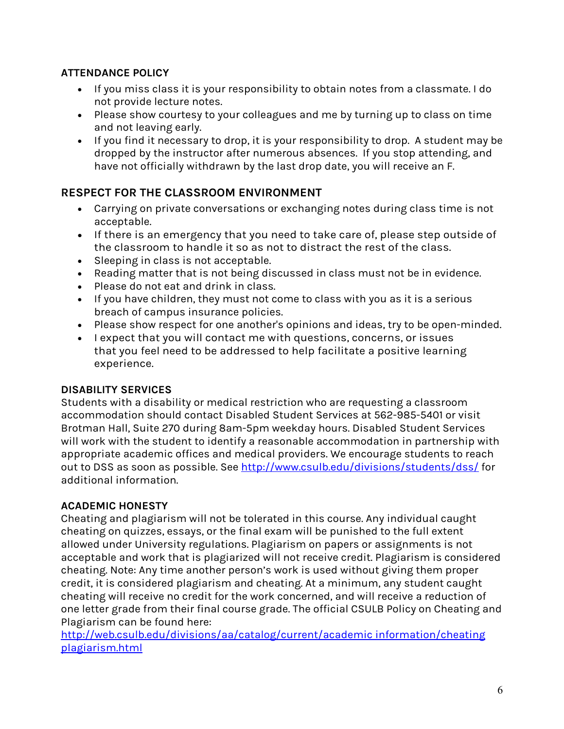## **ATTENDANCE POLICY**

- If you miss class it is your responsibility to obtain notes from a classmate. I do not provide lecture notes.
- Please show courtesy to your colleagues and me by turning up to class on time and not leaving early.
- If you find it necessary to drop, it is your responsibility to drop. A student may be dropped by the instructor after numerous absences. If you stop attending, and have not officially withdrawn by the last drop date, you will receive an F.

# **RESPECT FOR THE CLASSROOM ENVIRONMENT**

- Carrying on private conversations or exchanging notes during class time is not acceptable.
- If there is an emergency that you need to take care of, please step outside of the classroom to handle it so as not to distract the rest of the class.
- Sleeping in class is not acceptable.
- Reading matter that is not being discussed in class must not be in evidence.
- Please do not eat and drink in class.
- If you have children, they must not come to class with you as it is a serious breach of campus insurance policies.
- Please show respect for one another's opinions and ideas, try to be open-minded.
- I expect that you will contact me with questions, concerns, or issues that you feel need to be addressed to help facilitate a positive learning experience.

## **DISABILITY SERVICES**

Students with a disability or medical restriction who are requesting a classroom accommodation should contact Disabled Student Services at 562-985-5401 or visit Brotman Hall, Suite 270 during 8am-5pm weekday hours. Disabled Student Services will work with the student to identify a reasonable accommodation in partnership with appropriate academic offices and medical providers. We encourage students to reach out to DSS as soon as possible. See http://www.csulb.edu/divisions/students/dss/ for additional information.

## **ACADEMIC HONESTY**

Cheating and plagiarism will not be tolerated in this course. Any individual caught cheating on quizzes, essays, or the final exam will be punished to the full extent allowed under University regulations. Plagiarism on papers or assignments is not acceptable and work that is plagiarized will not receive credit. Plagiarism is considered cheating. Note: Any time another person's work is used without giving them proper credit, it is considered plagiarism and cheating. At a minimum, any student caught cheating will receive no credit for the work concerned, and will receive a reduction of one letter grade from their final course grade. The official CSULB Policy on Cheating and Plagiarism can be found here:

http://web.csulb.edu/divisions/aa/catalog/current/academic information/cheating plagiarism.html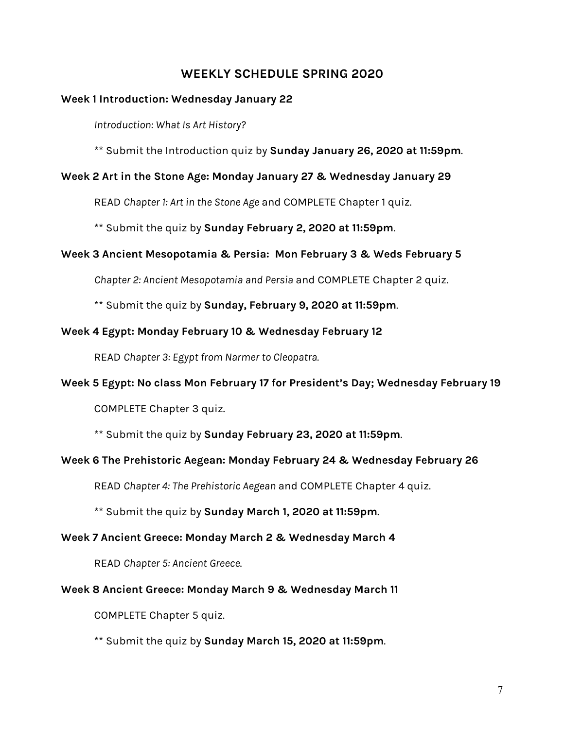## **WEEKLY SCHEDULE SPRING 2020**

### **Week 1 Introduction: Wednesday January 22**

*Introduction: What Is Art History?*

\*\* Submit the Introduction quiz by **Sunday January 26, 2020 at 11:59pm**.

### **Week 2 Art in the Stone Age: Monday January 27 & Wednesday January 29**

READ *Chapter 1: Art in the Stone Age* and COMPLETE Chapter 1 quiz.

\*\* Submit the quiz by **Sunday February 2, 2020 at 11:59pm**.

## **Week 3 Ancient Mesopotamia & Persia: Mon February 3 & Weds February 5**

*Chapter 2: Ancient Mesopotamia and Persia* and COMPLETE Chapter 2 quiz.

\*\* Submit the quiz by **Sunday, February 9, 2020 at 11:59pm**.

### **Week 4 Egypt: Monday February 10 & Wednesday February 12**

READ *Chapter 3: Egypt from Narmer to Cleopatra.*

### **Week 5 Egypt: No class Mon February 17 for President's Day; Wednesday February 19**

COMPLETE Chapter 3 quiz.

\*\* Submit the quiz by **Sunday February 23, 2020 at 11:59pm**.

### **Week 6 The Prehistoric Aegean: Monday February 24 & Wednesday February 26**

READ *Chapter 4: The Prehistoric Aegean* and COMPLETE Chapter 4 quiz.

\*\* Submit the quiz by **Sunday March 1, 2020 at 11:59pm**.

### **Week 7 Ancient Greece: Monday March 2 & Wednesday March 4**

READ *Chapter 5: Ancient Greece*.

### **Week 8 Ancient Greece: Monday March 9 & Wednesday March 11**

COMPLETE Chapter 5 quiz.

\*\* Submit the quiz by **Sunday March 15, 2020 at 11:59pm**.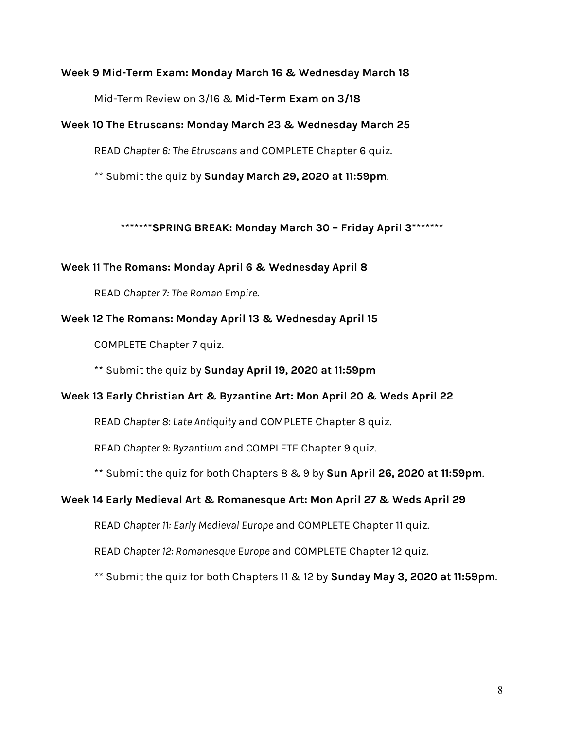#### **Week 9 Mid-Term Exam: Monday March 16 & Wednesday March 18**

Mid-Term Review on 3/16 & **Mid-Term Exam on 3/18**

#### **Week 10 The Etruscans: Monday March 23 & Wednesday March 25**

READ *Chapter 6: The Etruscans* and COMPLETE Chapter 6 quiz.

\*\* Submit the quiz by **Sunday March 29, 2020 at 11:59pm**.

**\*\*\*\*\*\*\*SPRING BREAK: Monday March 30 – Friday April 3\*\*\*\*\*\*\***

#### **Week 11 The Romans: Monday April 6 & Wednesday April 8**

READ *Chapter 7: The Roman Empire.*

### **Week 12 The Romans: Monday April 13 & Wednesday April 15**

COMPLETE Chapter 7 quiz.

\*\* Submit the quiz by **Sunday April 19, 2020 at 11:59pm**

### **Week 13 Early Christian Art & Byzantine Art: Mon April 20 & Weds April 22**

READ *Chapter 8: Late Antiquity* and COMPLETE Chapter 8 quiz.

READ *Chapter 9: Byzantium* and COMPLETE Chapter 9 quiz.

\*\* Submit the quiz for both Chapters 8 & 9 by **Sun April 26, 2020 at 11:59pm**.

### **Week 14 Early Medieval Art & Romanesque Art: Mon April 27 & Weds April 29**

READ *Chapter 11: Early Medieval Europe* and COMPLETE Chapter 11 quiz.

READ *Chapter 12: Romanesque Europe* and COMPLETE Chapter 12 quiz.

\*\* Submit the quiz for both Chapters 11 & 12 by **Sunday May 3, 2020 at 11:59pm**.